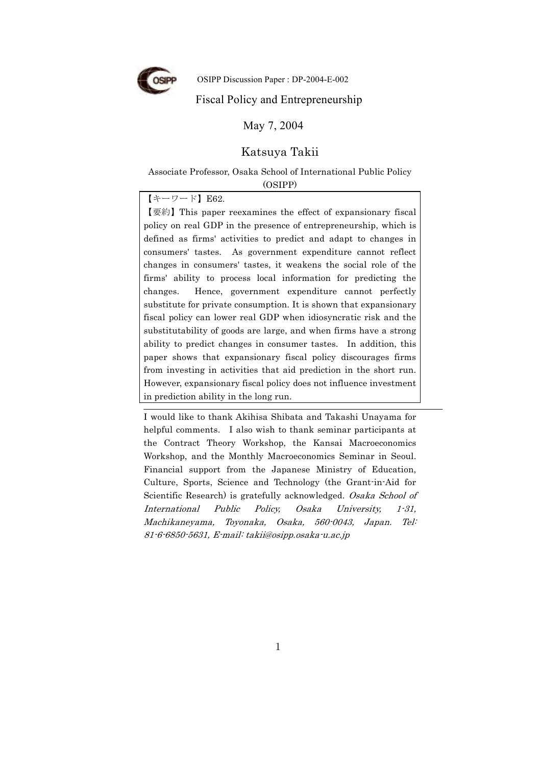

OSIPP Discussion Paper : DP-2004-E-002

#### Fiscal Policy and Entrepreneurship

May 7, 2004

#### Katsuya Takii

Associate Professor, Osaka School of International Public Policy (OSIPP)

#### 【キーワード】E62.

【要約】This paper reexamines the effect of expansionary fiscal policy on real GDP in the presence of entrepreneurship, which is defined as firms' activities to predict and adapt to changes in consumers' tastes. As government expenditure cannot reflect changes in consumers' tastes, it weakens the social role of the firms' ability to process local information for predicting the changes. Hence, government expenditure cannot perfectly substitute for private consumption. It is shown that expansionary fiscal policy can lower real GDP when idiosyncratic risk and the substitutability of goods are large, and when firms have a strong ability to predict changes in consumer tastes. In addition, this paper shows that expansionary fiscal policy discourages firms from investing in activities that aid prediction in the short run. However, expansionary fiscal policy does not influence investment in prediction ability in the long run.

I would like to thank Akihisa Shibata and Takashi Unayama for helpful comments. I also wish to thank seminar participants at the Contract Theory Workshop, the Kansai Macroeconomics Workshop, and the Monthly Macroeconomics Seminar in Seoul. Financial support from the Japanese Ministry of Education, Culture, Sports, Science and Technology (the Grant-in-Aid for Scientific Research) is gratefully acknowledged. Osaka School of International Public Policy, Osaka University, 1-31, Machikaneyama, Toyonaka, Osaka, 560-0043, Japan. Tel: 81-6-6850-5631, E-mail: takii@osipp.osaka-u.ac.jp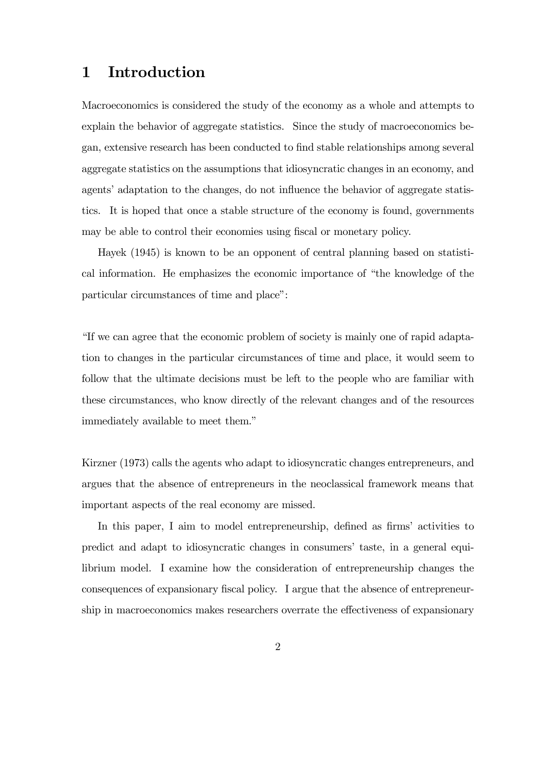### 1 Introduction

Macroeconomics is considered the study of the economy as a whole and attempts to explain the behavior of aggregate statistics. Since the study of macroeconomics began, extensive research has been conducted to find stable relationships among several aggregate statistics on the assumptions that idiosyncratic changes in an economy, and agents' adaptation to the changes, do not influence the behavior of aggregate statistics. It is hoped that once a stable structure of the economy is found, governments may be able to control their economies using fiscal or monetary policy.

Hayek (1945) is known to be an opponent of central planning based on statistical information. He emphasizes the economic importance of "the knowledge of the particular circumstances of time and place":

"If we can agree that the economic problem of society is mainly one of rapid adaptation to changes in the particular circumstances of time and place, it would seem to follow that the ultimate decisions must be left to the people who are familiar with these circumstances, who know directly of the relevant changes and of the resources immediately available to meet them."

Kirzner (1973) calls the agents who adapt to idiosyncratic changes entrepreneurs, and argues that the absence of entrepreneurs in the neoclassical framework means that important aspects of the real economy are missed.

In this paper, I aim to model entrepreneurship, defined as firms' activities to predict and adapt to idiosyncratic changes in consumers' taste, in a general equilibrium model. I examine how the consideration of entrepreneurship changes the consequences of expansionary fiscal policy. I argue that the absence of entrepreneurship in macroeconomics makes researchers overrate the effectiveness of expansionary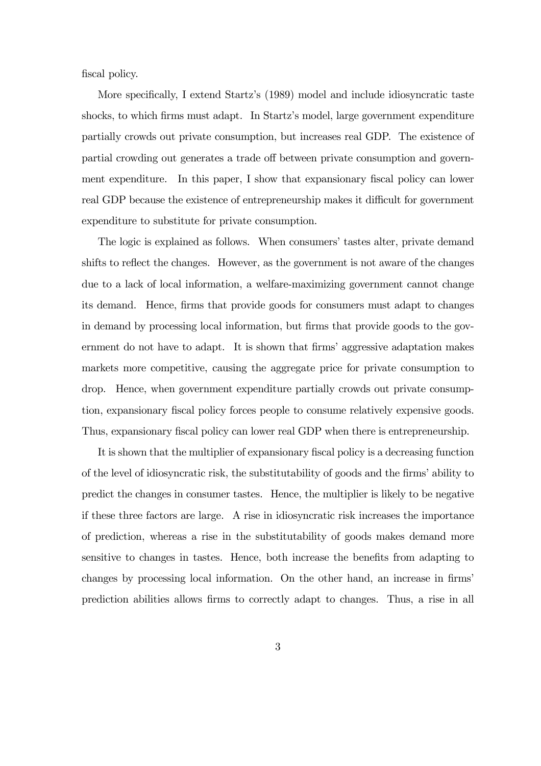fiscal policy.

More specifically, I extend Startz's (1989) model and include idiosyncratic taste shocks, to which firms must adapt. In Startz's model, large government expenditure partially crowds out private consumption, but increases real GDP. The existence of partial crowding out generates a trade off between private consumption and government expenditure. In this paper, I show that expansionary fiscal policy can lower real GDP because the existence of entrepreneurship makes it difficult for government expenditure to substitute for private consumption.

The logic is explained as follows. When consumers' tastes alter, private demand shifts to reflect the changes. However, as the government is not aware of the changes due to a lack of local information, a welfare-maximizing government cannot change its demand. Hence, firms that provide goods for consumers must adapt to changes in demand by processing local information, but firms that provide goods to the government do not have to adapt. It is shown that firms' aggressive adaptation makes markets more competitive, causing the aggregate price for private consumption to drop. Hence, when government expenditure partially crowds out private consumption, expansionary fiscal policy forces people to consume relatively expensive goods. Thus, expansionary fiscal policy can lower real GDP when there is entrepreneurship.

It is shown that the multiplier of expansionary fiscal policy is a decreasing function of the level of idiosyncratic risk, the substitutability of goods and the firms' ability to predict the changes in consumer tastes. Hence, the multiplier is likely to be negative if these three factors are large. A rise in idiosyncratic risk increases the importance of prediction, whereas a rise in the substitutability of goods makes demand more sensitive to changes in tastes. Hence, both increase the benefits from adapting to changes by processing local information. On the other hand, an increase in firms' prediction abilities allows firms to correctly adapt to changes. Thus, a rise in all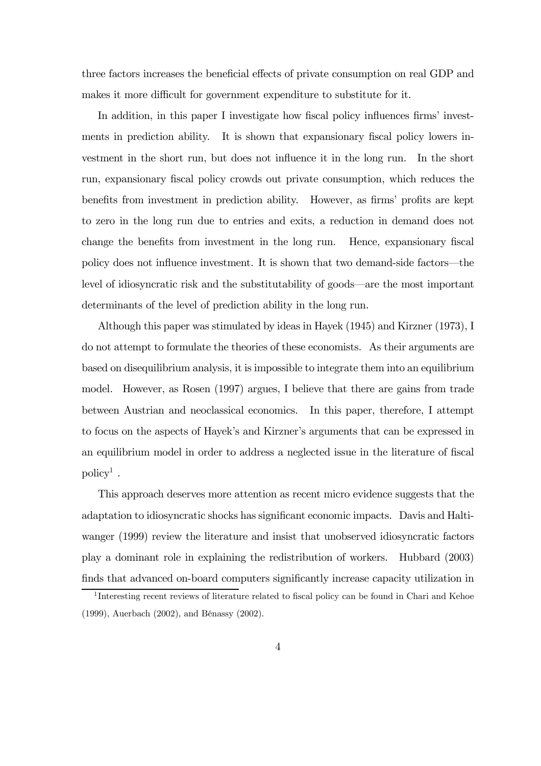three factors increases the beneficial effects of private consumption on real GDP and makes it more difficult for government expenditure to substitute for it.

In addition, in this paper I investigate how fiscal policy influences firms' investments in prediction ability. It is shown that expansionary fiscal policy lowers investment in the short run, but does not influence it in the long run. In the short run, expansionary fiscal policy crowds out private consumption, which reduces the benefits from investment in prediction ability. However, as firms' profits are kept to zero in the long run due to entries and exits, a reduction in demand does not change the benefits from investment in the long run. Hence, expansionary fiscal policy does not influence investment. It is shown that two demand-side factors–the level of idiosyncratic risk and the substitutability of goods–are the most important determinants of the level of prediction ability in the long run.

Although this paper was stimulated by ideas in Hayek (1945) and Kirzner (1973), I do not attempt to formulate the theories of these economists. As their arguments are based on disequilibrium analysis, it is impossible to integrate them into an equilibrium model. However, as Rosen (1997) argues, I believe that there are gains from trade between Austrian and neoclassical economics. In this paper, therefore, I attempt to focus on the aspects of Hayek's and Kirzner's arguments that can be expressed in an equilibrium model in order to address a neglected issue in the literature of fiscal  $\text{policy}^1$ .

This approach deserves more attention as recent micro evidence suggests that the adaptation to idiosyncratic shocks has significant economic impacts. Davis and Haltiwanger (1999) review the literature and insist that unobserved idiosyncratic factors play a dominant role in explaining the redistribution of workers. Hubbard (2003) finds that advanced on-board computers significantly increase capacity utilization in

<sup>&</sup>lt;sup>1</sup>Interesting recent reviews of literature related to fiscal policy can be found in Chari and Kehoe (1999), Auerbach (2002), and Bénassy (2002).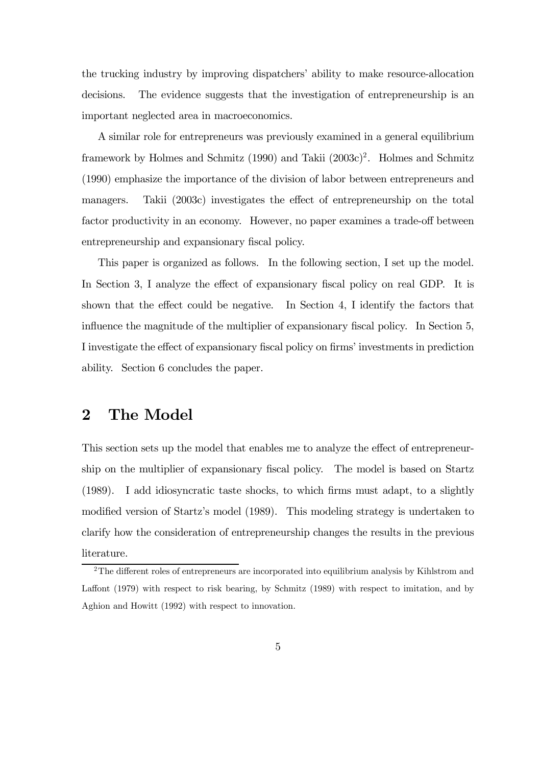the trucking industry by improving dispatchers' ability to make resource-allocation decisions. The evidence suggests that the investigation of entrepreneurship is an important neglected area in macroeconomics.

A similar role for entrepreneurs was previously examined in a general equilibrium framework by Holmes and Schmitz (1990) and Takii (2003c)2. Holmes and Schmitz (1990) emphasize the importance of the division of labor between entrepreneurs and managers. Takii (2003c) investigates the effect of entrepreneurship on the total factor productivity in an economy. However, no paper examines a trade-off between entrepreneurship and expansionary fiscal policy.

This paper is organized as follows. In the following section, I set up the model. In Section 3, I analyze the effect of expansionary fiscal policy on real GDP. It is shown that the effect could be negative. In Section 4, I identify the factors that influence the magnitude of the multiplier of expansionary fiscal policy. In Section 5, I investigate the effect of expansionary fiscal policy on firms' investments in prediction ability. Section 6 concludes the paper.

### 2 The Model

This section sets up the model that enables me to analyze the effect of entrepreneurship on the multiplier of expansionary fiscal policy. The model is based on Startz (1989). I add idiosyncratic taste shocks, to which firms must adapt, to a slightly modified version of Startz's model (1989). This modeling strategy is undertaken to clarify how the consideration of entrepreneurship changes the results in the previous literature.

<sup>&</sup>lt;sup>2</sup>The different roles of entrepreneurs are incorporated into equilibrium analysis by Kihlstrom and Laffont (1979) with respect to risk bearing, by Schmitz (1989) with respect to imitation, and by Aghion and Howitt (1992) with respect to innovation.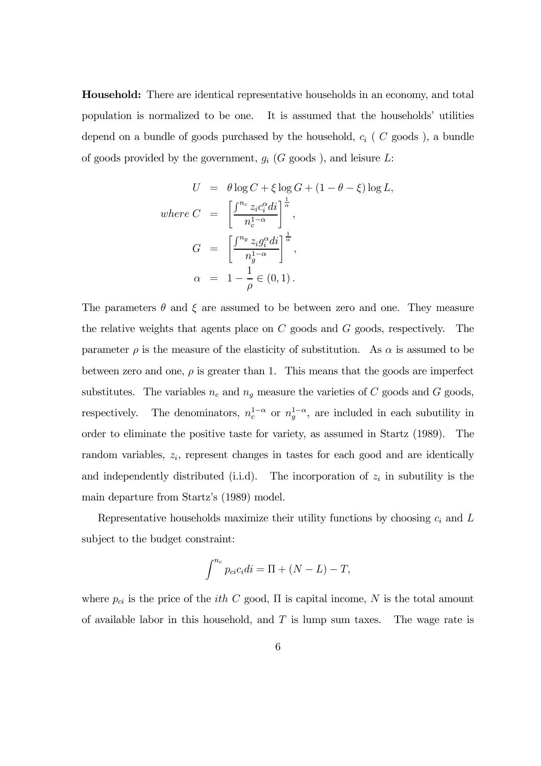Household: There are identical representative households in an economy, and total population is normalized to be one. It is assumed that the households' utilities depend on a bundle of goods purchased by the household,  $c_i$  (  $C$  goods ), a bundle of goods provided by the government,  $g_i$  (G goods ), and leisure L:

$$
U = \theta \log C + \xi \log G + (1 - \theta - \xi) \log L,
$$
  
where 
$$
C = \left[ \frac{\int^{n_c} z_i c_i^{\alpha} di}{n_c^{1 - \alpha}} \right]^{\frac{1}{\alpha}},
$$

$$
G = \left[ \frac{\int^{n_g} z_i g_i^{\alpha} di}{n_g^{1 - \alpha}} \right]^{\frac{1}{\alpha}},
$$

$$
\alpha = 1 - \frac{1}{\rho} \in (0, 1).
$$

The parameters  $\theta$  and  $\xi$  are assumed to be between zero and one. They measure the relative weights that agents place on  $C$  goods and  $G$  goods, respectively. The parameter  $\rho$  is the measure of the elasticity of substitution. As  $\alpha$  is assumed to be between zero and one,  $\rho$  is greater than 1. This means that the goods are imperfect substitutes. The variables  $n_c$  and  $n_g$  measure the varieties of C goods and G goods, respectively. The denominators,  $n_c^{1-\alpha}$  or  $n_g^{1-\alpha}$ , are included in each subutility in order to eliminate the positive taste for variety, as assumed in Startz (1989). The random variables,  $z_i$ , represent changes in tastes for each good and are identically and independently distributed (i.i.d). The incorporation of  $z_i$  in subutility is the main departure from Startz's (1989) model.

Representative households maximize their utility functions by choosing  $c_i$  and  $L$ subject to the budget constraint:

$$
\int^{n_c} p_{ci} c_i di = \Pi + (N - L) - T,
$$

where  $p_{ci}$  is the price of the *ith* C good,  $\Pi$  is capital income, N is the total amount of available labor in this household, and  $T$  is lump sum taxes. The wage rate is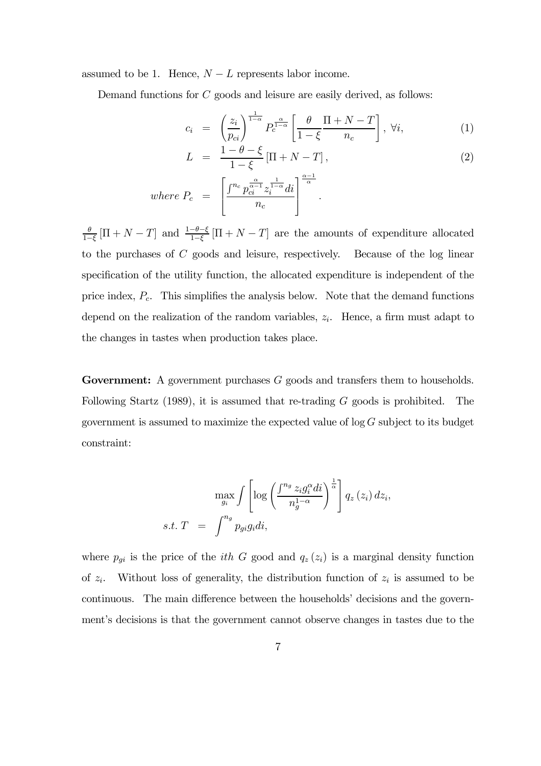assumed to be 1. Hence,  $N - L$  represents labor income.

Demand functions for C goods and leisure are easily derived, as follows:

$$
c_i = \left(\frac{z_i}{p_{ci}}\right)^{\frac{1}{1-\alpha}} P_c^{\frac{\alpha}{1-\alpha}} \left[\frac{\theta}{1-\xi} \frac{\Pi + N - T}{n_c}\right], \ \forall i,
$$
\n
$$
(1)
$$

$$
L = \frac{1 - \theta - \xi}{1 - \xi} \left[ \Pi + N - T \right],
$$
  
\nwhere 
$$
P_c = \left[ \frac{\int^{n_c} p_{ci}^{\frac{\alpha}{\alpha - 1}} z_i^{\frac{1}{1 - \alpha}} di}{n_c} \right]^{\frac{\alpha - 1}{\alpha}}.
$$
 (2)

 $\frac{\theta}{1-\xi}$  [ $\Pi + N - T$ ] and  $\frac{1-\theta-\xi}{1-\xi}$  [ $\Pi + N - T$ ] are the amounts of expenditure allocated to the purchases of C goods and leisure, respectively. Because of the log linear specification of the utility function, the allocated expenditure is independent of the price index,  $P_c$ . This simplifies the analysis below. Note that the demand functions depend on the realization of the random variables,  $z_i$ . Hence, a firm must adapt to the changes in tastes when production takes place.

Government: A government purchases G goods and transfers them to households. Following Startz (1989), it is assumed that re-trading  $G$  goods is prohibited. The government is assumed to maximize the expected value of  $\log G$  subject to its budget constraint:

$$
\max_{g_i} \int \left[ \log \left( \frac{\int^{n_g} z_i g_i^{\alpha} di}{n_g^{1-\alpha}} \right)^{\frac{1}{\alpha}} \right] q_z(z_i) dz_i,
$$
  
s.t.  $T = \int^{n_g} p_{gi} g_i di$ ,

where  $p_{gi}$  is the price of the *ith* G good and  $q_z(z_i)$  is a marginal density function of  $z_i$ . Without loss of generality, the distribution function of  $z_i$  is assumed to be continuous. The main difference between the households' decisions and the government's decisions is that the government cannot observe changes in tastes due to the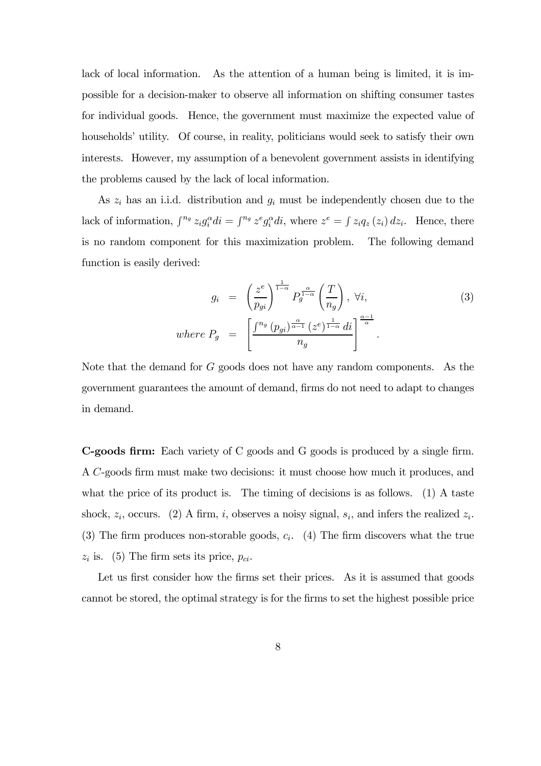lack of local information. As the attention of a human being is limited, it is impossible for a decision-maker to observe all information on shifting consumer tastes for individual goods. Hence, the government must maximize the expected value of households' utility. Of course, in reality, politicians would seek to satisfy their own interests. However, my assumption of a benevolent government assists in identifying the problems caused by the lack of local information.

As  $z_i$  has an i.i.d. distribution and  $g_i$  must be independently chosen due to the lack of information,  $\int^{n_g} z_i g_i^{\alpha} di = \int^{n_g} z^e g_i^{\alpha} di$ , where  $z^e = \int z_i q_z(z_i) dz_i$ . Hence, there is no random component for this maximization problem. The following demand function is easily derived:

$$
g_{i} = \left(\frac{z^{e}}{p_{gi}}\right)^{\frac{1}{1-\alpha}} P_{g}^{\frac{\alpha}{1-\alpha}} \left(\frac{T}{n_{g}}\right), \ \forall i,
$$
\n
$$
where P_{g} = \left[\frac{\int^{n_{g}} (p_{gi})^{\frac{\alpha}{\alpha-1}} (z^{e})^{\frac{1}{1-\alpha}} di}{n_{g}}\right]^{\frac{\alpha-1}{\alpha}}.
$$
\n
$$
(3)
$$

Note that the demand for G goods does not have any random components. As the government guarantees the amount of demand, firms do not need to adapt to changes in demand.

C-goods firm: Each variety of C goods and G goods is produced by a single firm. A C-goods firm must make two decisions: it must choose how much it produces, and what the price of its product is. The timing of decisions is as follows. (1) A taste shock,  $z_i$ , occurs. (2) A firm, i, observes a noisy signal,  $s_i$ , and infers the realized  $z_i$ . (3) The firm produces non-storable goods,  $c_i$ . (4) The firm discovers what the true  $z_i$  is. (5) The firm sets its price,  $p_{ci}$ .

Let us first consider how the firms set their prices. As it is assumed that goods cannot be stored, the optimal strategy is for the firms to set the highest possible price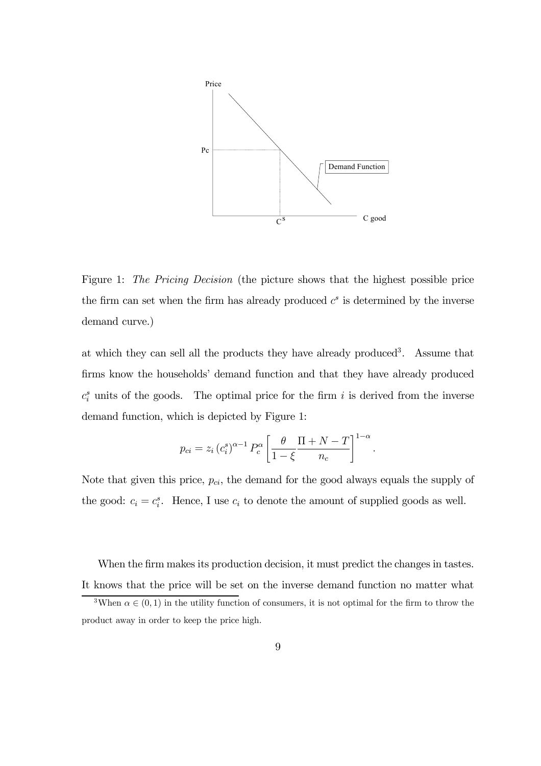

Figure 1: The Pricing Decision (the picture shows that the highest possible price the firm can set when the firm has already produced  $c<sup>s</sup>$  is determined by the inverse demand curve.)

at which they can sell all the products they have already produced<sup>3</sup>. Assume that firms know the households' demand function and that they have already produced  $c_i^s$  units of the goods. The optimal price for the firm i is derived from the inverse demand function, which is depicted by Figure 1:

$$
p_{ci} = z_i (c_i^s)^{\alpha - 1} P_c^{\alpha} \left[ \frac{\theta}{1 - \xi} \frac{\Pi + N - T}{n_c} \right]^{1 - \alpha}.
$$

Note that given this price,  $p_{ci}$ , the demand for the good always equals the supply of the good:  $c_i = c_i^s$ . Hence, I use  $c_i$  to denote the amount of supplied goods as well.

When the firm makes its production decision, it must predict the changes in tastes. It knows that the price will be set on the inverse demand function no matter what

<sup>&</sup>lt;sup>3</sup>When  $\alpha \in (0,1)$  in the utility function of consumers, it is not optimal for the firm to throw the product away in order to keep the price high.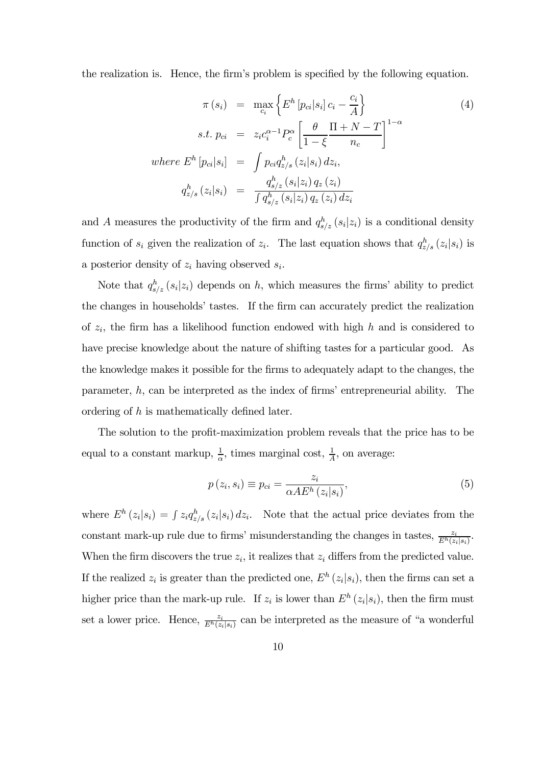the realization is. Hence, the firm's problem is specified by the following equation.

$$
\pi(s_i) = \max_{c_i} \left\{ E^h \left[ p_{ci} | s_i \right] c_i - \frac{c_i}{A} \right\}
$$
\n
$$
s.t. p_{ci} = z_i c_i^{\alpha - 1} P_c^{\alpha} \left[ \frac{\theta}{1 - \xi} \frac{\Pi + N - T}{n_c} \right]^{1 - \alpha}
$$
\n
$$
where \ E^h \left[ p_{ci} | s_i \right] = \int p_{ci} q_{z/s}^h (z_i | s_i) \, dz_i,
$$
\n
$$
q_{z/s}^h (z_i | s_i) = \frac{q_{s/z}^h (s_i | z_i) \, q_z (z_i)}{\int q_{s/z}^h (s_i | z_i) \, q_z (z_i) \, dz_i} \tag{4}
$$

and A measures the productivity of the firm and  $q_{s/z}^h(s_i|z_i)$  is a conditional density function of  $s_i$  given the realization of  $z_i$ . The last equation shows that  $q_{z/s}^h (z_i|s_i)$  is a posterior density of  $z_i$  having observed  $s_i$ .

Note that  $q_{s/z}^h(s_i|z_i)$  depends on h, which measures the firms' ability to predict the changes in households' tastes. If the firm can accurately predict the realization of  $z_i$ , the firm has a likelihood function endowed with high h and is considered to have precise knowledge about the nature of shifting tastes for a particular good. As the knowledge makes it possible for the firms to adequately adapt to the changes, the parameter,  $h$ , can be interpreted as the index of firms' entrepreneurial ability. The ordering of h is mathematically defined later.

The solution to the profit-maximization problem reveals that the price has to be equal to a constant markup,  $\frac{1}{\alpha}$ , times marginal cost,  $\frac{1}{\overline{A}}$ , on average:

$$
p(z_i, s_i) \equiv p_{ci} = \frac{z_i}{\alpha AE^h(z_i|s_i)},
$$
\n(5)

where  $E^h(z_i|s_i) = \int z_i q_{z/s}^h(z_i|s_i) dz_i$ . Note that the actual price deviates from the constant mark-up rule due to firms' misunderstanding the changes in tastes,  $\frac{z_i}{E^h(z_i|s_i)}$ . When the firm discovers the true  $z_i$ , it realizes that  $z_i$  differs from the predicted value. If the realized  $z_i$  is greater than the predicted one,  $E^h(z_i|s_i)$ , then the firms can set a higher price than the mark-up rule. If  $z_i$  is lower than  $E^h(z_i|s_i)$ , then the firm must set a lower price. Hence,  $\frac{z_i}{E^h(z_i|s_i)}$  can be interpreted as the measure of "a wonderful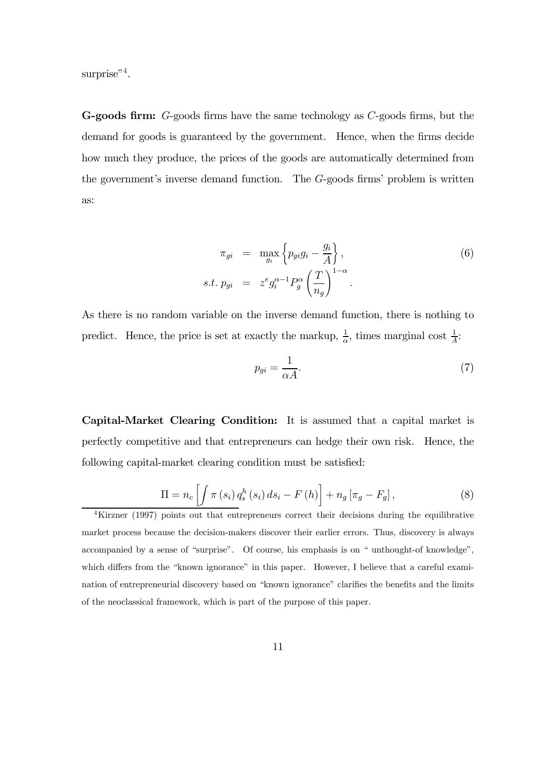surprise"<sup>4</sup>.

G-goods firm: G-goods firms have the same technology as C-goods firms, but the demand for goods is guaranteed by the government. Hence, when the firms decide how much they produce, the prices of the goods are automatically determined from the government's inverse demand function. The G-goods firms' problem is written as:

$$
\pi_{gi} = \max_{g_i} \left\{ p_{gi} g_i - \frac{g_i}{A} \right\},
$$
  
s.t.  $p_{gi} = z^e g_i^{\alpha - 1} P_g^{\alpha} \left( \frac{T}{n_g} \right)^{1 - \alpha}.$  (6)

As there is no random variable on the inverse demand function, there is nothing to predict. Hence, the price is set at exactly the markup,  $\frac{1}{\alpha}$ , times marginal cost  $\frac{1}{A}$ .

$$
p_{gi} = \frac{1}{\alpha A}.\tag{7}
$$

Capital-Market Clearing Condition: It is assumed that a capital market is perfectly competitive and that entrepreneurs can hedge their own risk. Hence, the following capital-market clearing condition must be satisfied:

$$
\Pi = n_c \left[ \int \pi \left( s_i \right) q_s^h \left( s_i \right) ds_i - F \left( h \right) \right] + n_g \left[ \pi_g - F_g \right], \tag{8}
$$

<sup>4</sup>Kirzner (1997) points out that entrepreneurs correct their decisions during the equilibrative market process because the decision-makers discover their earlier errors. Thus, discovery is always accompanied by a sense of "surprise". Of course, his emphasis is on " unthought-of knowledge", which differs from the "known ignorance" in this paper. However, I believe that a careful examination of entrepreneurial discovery based on "known ignorance" clarifies the benefits and the limits of the neoclassical framework, which is part of the purpose of this paper.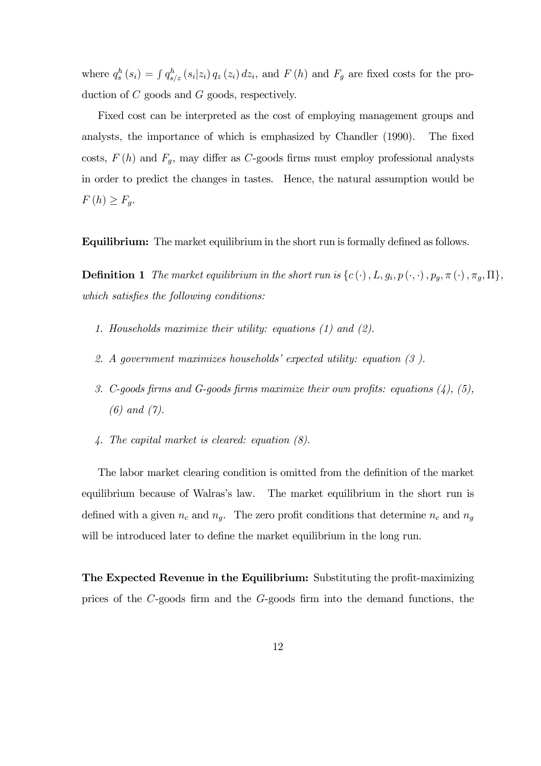where  $q_s^h(s_i) = \int q_{s/z}^h(s_i|z_i) q_z(z_i) dz_i$ , and  $F(h)$  and  $F_g$  are fixed costs for the production of C goods and G goods, respectively.

Fixed cost can be interpreted as the cost of employing management groups and analysts, the importance of which is emphasized by Chandler (1990). The fixed costs,  $F(h)$  and  $F_g$ , may differ as C-goods firms must employ professional analysts in order to predict the changes in tastes. Hence, the natural assumption would be  $F(h) \geq F_g$ .

Equilibrium: The market equilibrium in the short run is formally defined as follows.

**Definition 1** The market equilibrium in the short run is  $\{c(\cdot), L, g_i, p(\cdot, \cdot), p_g, \pi(\cdot), \pi_g, \Pi\},\$ which satisfies the following conditions:

- 1. Households maximize their utility: equations (1) and (2).
- 2. A government maximizes households' expected utility: equation (3 ).
- 3. C-goods firms and G-goods firms maximize their own profits: equations  $(4)$ ,  $(5)$ , (6) and (7).
- 4. The capital market is cleared: equation (8).

The labor market clearing condition is omitted from the definition of the market equilibrium because of Walras's law. The market equilibrium in the short run is defined with a given  $n_c$  and  $n_g$ . The zero profit conditions that determine  $n_c$  and  $n_g$ will be introduced later to define the market equilibrium in the long run.

The Expected Revenue in the Equilibrium: Substituting the profit-maximizing prices of the C-goods firm and the G-goods firm into the demand functions, the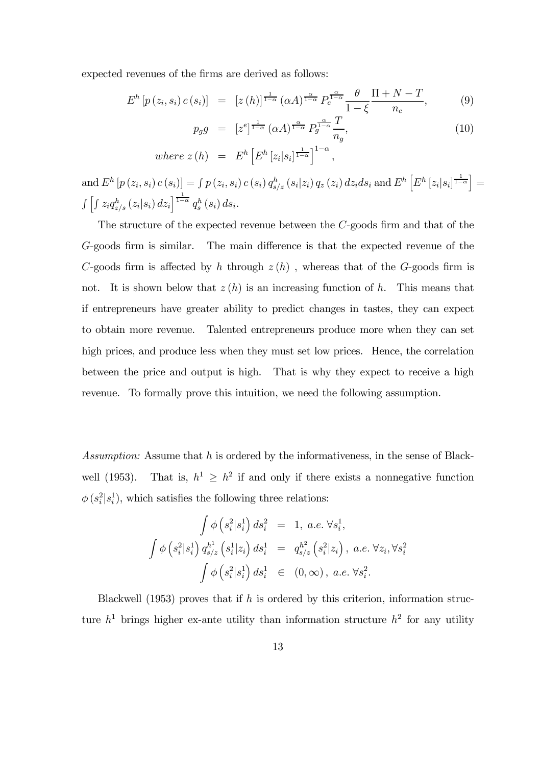expected revenues of the firms are derived as follows:

$$
E^{h}\left[p\left(z_{i}, s_{i}\right) c\left(s_{i}\right)\right] = \left[z\left(h\right)\right]^{\frac{1}{1-\alpha}} \left(\alpha A\right)^{\frac{\alpha}{1-\alpha}} P_{c}^{\frac{\alpha}{1-\alpha}} \frac{\theta}{1-\xi} \frac{\Pi+N-T}{n_{c}},\tag{9}
$$

$$
p_g g = [z^e]^{\frac{1}{1-\alpha}} (\alpha A)^{\frac{\alpha}{1-\alpha}} P_g^{\frac{\alpha}{1-\alpha}} \frac{T}{n_g}, \qquad (10)
$$

where 
$$
z(h) = E^h \left[ E^h \left[ z_i | s_i \right]^{\frac{1}{1-\alpha}} \right]^{1-\alpha}
$$
,

 $\text{and}\, E^h\left[p\left(z_i, s_i\right)c\left(s_i\right)\right]=\int p\left(z_i, s_i\right)c\left(s_i\right)q_{s/z}^h\left(s_i|z_i\right)q_z\left(z_i\right)dz_ids_i\text{ and }E^h\left[E^h\left[z_i|s_i\right]^{\frac{1}{1-\alpha}}\right]=$  $\int \left[ \int z_i q_{z/s}^h (z_i | s_i) \, dz_i \right]^{1-\alpha} q_s^h (s_i) \, ds_i.$ 

The structure of the expected revenue between the C-goods firm and that of the G-goods firm is similar. The main difference is that the expected revenue of the C-goods firm is affected by h through  $z(h)$ , whereas that of the G-goods firm is not. It is shown below that  $z(h)$  is an increasing function of h. This means that if entrepreneurs have greater ability to predict changes in tastes, they can expect to obtain more revenue. Talented entrepreneurs produce more when they can set high prices, and produce less when they must set low prices. Hence, the correlation between the price and output is high. That is why they expect to receive a high revenue. To formally prove this intuition, we need the following assumption.

Assumption: Assume that h is ordered by the informativeness, in the sense of Blackwell (1953). That is,  $h^1 \geq h^2$  if and only if there exists a nonnegative function  $\phi(s_i^2|s_i^1)$ , which satisfies the following three relations:

$$
\int \phi \left( s_i^2 | s_i^1 \right) ds_i^2 = 1, \ a.e. \ \forall s_i^1,
$$
  

$$
\int \phi \left( s_i^2 | s_i^1 \right) q_{s/z}^{h^1} \left( s_i^1 | z_i \right) ds_i^1 = q_{s/z}^{h^2} \left( s_i^2 | z_i \right), \ a.e. \ \forall z_i, \forall s_i^2
$$
  

$$
\int \phi \left( s_i^2 | s_i^1 \right) ds_i^1 \in (0, \infty), \ a.e. \ \forall s_i^2.
$$

Blackwell (1953) proves that if h is ordered by this criterion, information structure  $h^1$  brings higher ex-ante utility than information structure  $h^2$  for any utility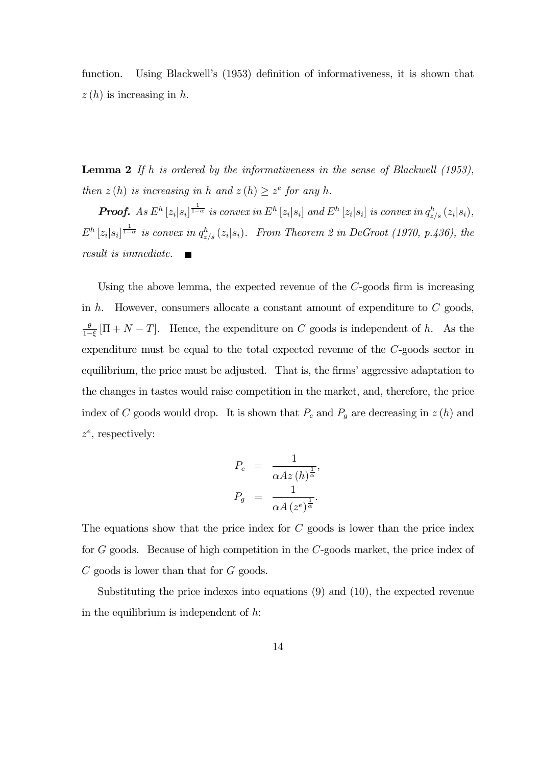function. Using Blackwell's (1953) definition of informativeness, it is shown that  $z(h)$  is increasing in h.

**Lemma 2** If h is ordered by the informativeness in the sense of Blackwell  $(1953)$ , then  $z(h)$  is increasing in h and  $z(h) \geq z^e$  for any h.

**Proof.** As  $E^h[z_i|s_i]^{\frac{1}{1-\alpha}}$  is convex in  $E^h[z_i|s_i]$  and  $E^h[z_i|s_i]$  is convex in  $q_{z/s}^h(z_i|s_i)$ ,  $E^h [z_i | s_i]^{\frac{1}{1-\alpha}}$  is convex in  $q_{z/s}^h (z_i | s_i)$ . From Theorem 2 in DeGroot (1970, p.436), the result is immediate.

Using the above lemma, the expected revenue of the  $C$ -goods firm is increasing in h. However, consumers allocate a constant amount of expenditure to  $C$  goods,  $\frac{\theta}{1-\xi}$  [ $\Pi + N - T$ ]. Hence, the expenditure on C goods is independent of h. As the expenditure must be equal to the total expected revenue of the C-goods sector in equilibrium, the price must be adjusted. That is, the firms' aggressive adaptation to the changes in tastes would raise competition in the market, and, therefore, the price index of C goods would drop. It is shown that  $P_c$  and  $P_g$  are decreasing in  $z(h)$  and  $z^e$ , respectively:

$$
P_c = \frac{1}{\alpha Az(h)^{\frac{1}{\alpha}}},
$$
  

$$
P_g = \frac{1}{\alpha A(z^e)^{\frac{1}{\alpha}}}.
$$

The equations show that the price index for  $C$  goods is lower than the price index for G goods. Because of high competition in the C-goods market, the price index of C goods is lower than that for G goods.

Substituting the price indexes into equations (9) and (10), the expected revenue in the equilibrium is independent of  $h$ :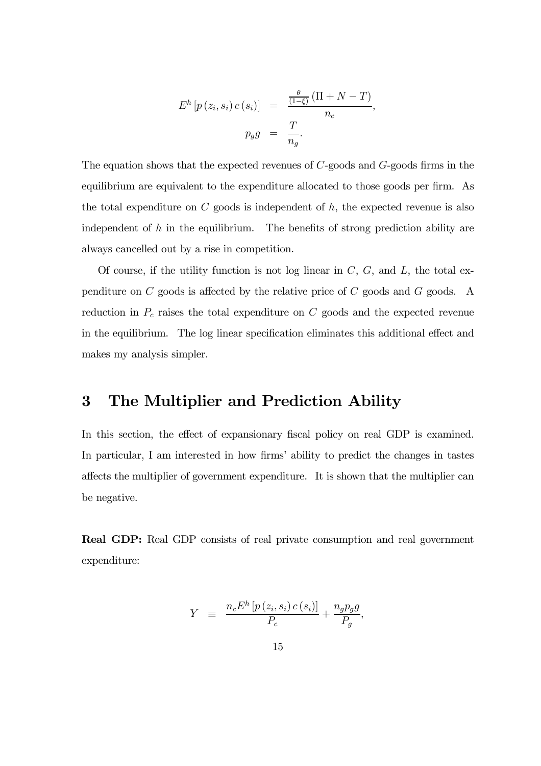$$
E^{h}[p(z_{i}, s_{i}) c(s_{i})] = \frac{\frac{\theta}{(1-\xi)}(\Pi + N - T)}{n_{c}},
$$

$$
p_{g}g = \frac{T}{n_{g}}.
$$

The equation shows that the expected revenues of C-goods and G-goods firms in the equilibrium are equivalent to the expenditure allocated to those goods per firm. As the total expenditure on  $C$  goods is independent of  $h$ , the expected revenue is also independent of  $h$  in the equilibrium. The benefits of strong prediction ability are always cancelled out by a rise in competition.

Of course, if the utility function is not log linear in  $C, G$ , and  $L$ , the total expenditure on C goods is affected by the relative price of C goods and G goods. A reduction in  $P_c$  raises the total expenditure on  $C$  goods and the expected revenue in the equilibrium. The log linear specification eliminates this additional effect and makes my analysis simpler.

### 3 The Multiplier and Prediction Ability

In this section, the effect of expansionary fiscal policy on real GDP is examined. In particular, I am interested in how firms' ability to predict the changes in tastes affects the multiplier of government expenditure. It is shown that the multiplier can be negative.

Real GDP: Real GDP consists of real private consumption and real government expenditure:

$$
Y \equiv \frac{n_c E^h \left[ p \left( z_i, s_i \right) c \left( s_i \right) \right]}{P_c} + \frac{n_g p_g g}{P_g},
$$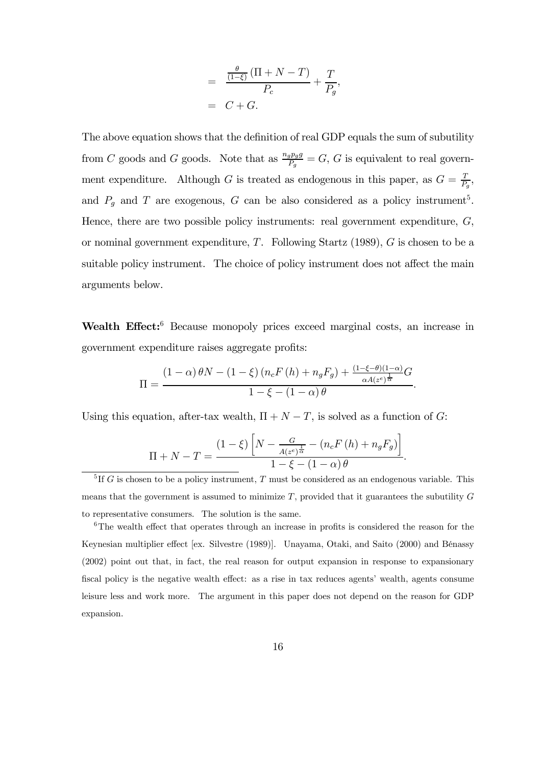$$
= \frac{\frac{\theta}{(1-\xi)}(\Pi+N-T)}{P_c} + \frac{T}{P_g},
$$
  
=  $C + G.$ 

The above equation shows that the definition of real GDP equals the sum of subutility from C goods and G goods. Note that as  $\frac{n_g p_g g}{P_g} = G$ , G is equivalent to real government expenditure. Although G is treated as endogenous in this paper, as  $G = \frac{T}{P_g}$ , and  $P_g$  and T are exogenous, G can be also considered as a policy instrument<sup>5</sup>. Hence, there are two possible policy instruments: real government expenditure,  $G$ , or nominal government expenditure,  $T$ . Following Startz (1989),  $G$  is chosen to be a suitable policy instrument. The choice of policy instrument does not affect the main arguments below.

Wealth Effect:<sup>6</sup> Because monopoly prices exceed marginal costs, an increase in government expenditure raises aggregate profits:

$$
\Pi = \frac{(1-\alpha)\,\theta N - (1-\xi)\left(n_c F\left(h\right) + n_g F_g\right) + \frac{(1-\xi-\theta)(1-\alpha)}{\alpha A(z^e)^{\frac{1}{\alpha}}}G}{1-\xi - (1-\alpha)\,\theta}.
$$

Using this equation, after-tax wealth,  $\Pi + N - T$ , is solved as a function of G:

$$
\Pi + N - T = \frac{(1 - \xi) \left[ N - \frac{G}{A(z^e)^{\frac{1}{\alpha}}} - (n_c F(h) + n_g F_g) \right]}{1 - \xi - (1 - \alpha) \theta}.
$$

<sup>5</sup>If G is chosen to be a policy instrument, T must be considered as an endogenous variable. This means that the government is assumed to minimize  $T$ , provided that it guarantees the subutility  $G$ to representative consumers. The solution is the same.

<sup>6</sup>The wealth effect that operates through an increase in profits is considered the reason for the Keynesian multiplier effect [ex. Silvestre (1989)]. Unayama, Otaki, and Saito (2000) and Bénassy (2002) point out that, in fact, the real reason for output expansion in response to expansionary fiscal policy is the negative wealth effect: as a rise in tax reduces agents' wealth, agents consume leisure less and work more. The argument in this paper does not depend on the reason for GDP expansion.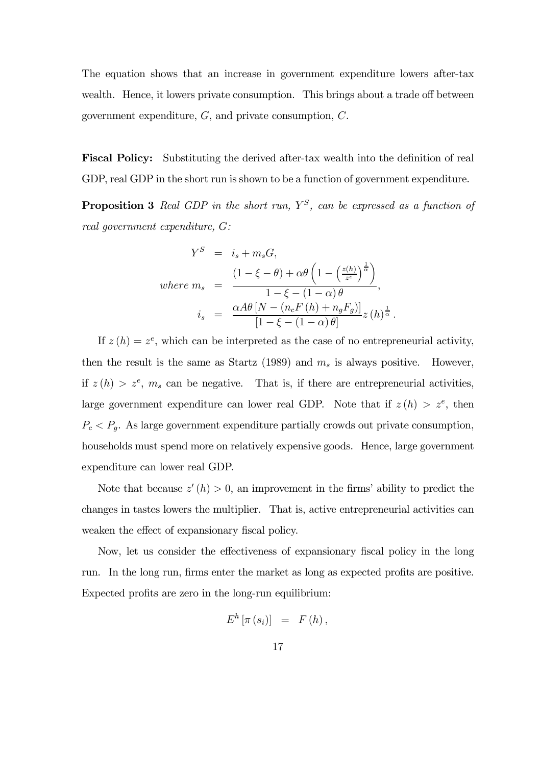The equation shows that an increase in government expenditure lowers after-tax wealth. Hence, it lowers private consumption. This brings about a trade off between government expenditure, G, and private consumption, C.

Fiscal Policy: Substituting the derived after-tax wealth into the definition of real GDP, real GDP in the short run is shown to be a function of government expenditure.

**Proposition 3** Real GDP in the short run,  $Y^S$ , can be expressed as a function of real government expenditure, G:

$$
Y^{S} = i_{s} + m_{s}G,
$$
  
\nwhere  $m_{s} = \frac{(1 - \xi - \theta) + \alpha \theta \left(1 - \left(\frac{z(h)}{z^{e}}\right)^{\frac{1}{\alpha}}\right)}{1 - \xi - (1 - \alpha)\theta},$   
\n $i_{s} = \frac{\alpha A\theta \left[N - (n_{c}F(h) + n_{g}F_{g})\right]}{[1 - \xi - (1 - \alpha)\theta]}z(h)^{\frac{1}{\alpha}}.$ 

If  $z(h) = z^e$ , which can be interpreted as the case of no entrepreneurial activity, then the result is the same as Startz (1989) and  $m_s$  is always positive. However, if  $z(h) > z^e$ ,  $m_s$  can be negative. That is, if there are entrepreneurial activities, large government expenditure can lower real GDP. Note that if  $z(h) > z^e$ , then  $P_c < P_g$ . As large government expenditure partially crowds out private consumption, households must spend more on relatively expensive goods. Hence, large government expenditure can lower real GDP.

Note that because  $z'(h) > 0$ , an improvement in the firms' ability to predict the changes in tastes lowers the multiplier. That is, active entrepreneurial activities can weaken the effect of expansionary fiscal policy.

Now, let us consider the effectiveness of expansionary fiscal policy in the long run. In the long run, firms enter the market as long as expected profits are positive. Expected profits are zero in the long-run equilibrium:

$$
E^h\left[\pi\left(s_i\right)\right] = F\left(h\right),\,
$$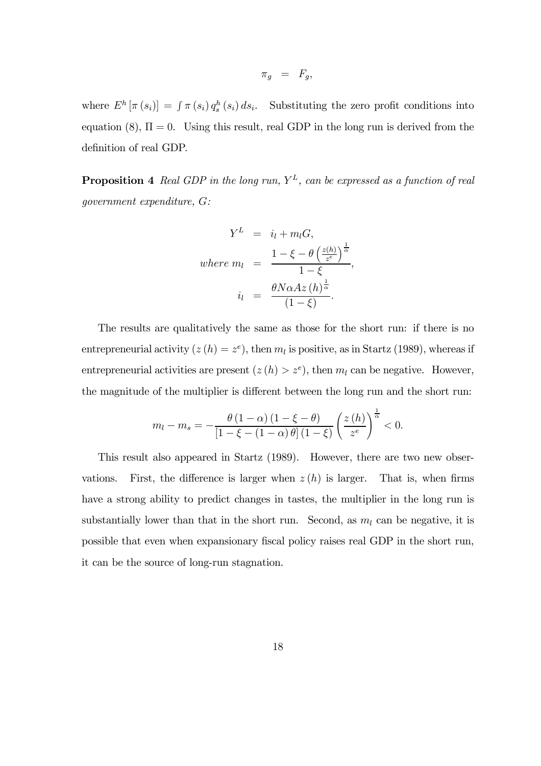$$
\pi_g \;\; = \;\; F_g,
$$

where  $E^h[\pi(s_i)] = \int \pi(s_i) q_s^h(s_i) ds_i$ . Substituting the zero profit conditions into equation (8),  $\Pi = 0$ . Using this result, real GDP in the long run is derived from the definition of real GDP.

**Proposition 4** Real GDP in the long run,  $Y<sup>L</sup>$ , can be expressed as a function of real government expenditure, G:

$$
Y^{L} = i_{l} + m_{l}G,
$$
  
where  $m_{l} = \frac{1 - \xi - \theta \left(\frac{z(h)}{z^{e}}\right)^{\frac{1}{\alpha}}}{1 - \xi},$   
 $i_{l} = \frac{\theta N \alpha Az(h)^{\frac{1}{\alpha}}}{(1 - \xi)}.$ 

The results are qualitatively the same as those for the short run: if there is no entrepreneurial activity  $(z(h) = z^e)$ , then  $m_l$  is positive, as in Startz (1989), whereas if entrepreneurial activities are present  $(z(h) > z^e)$ , then  $m_l$  can be negative. However, the magnitude of the multiplier is different between the long run and the short run:

$$
m_l - m_s = -\frac{\theta(1-\alpha)(1-\xi-\theta)}{\left[1-\xi-(1-\alpha)\theta\right](1-\xi)} \left(\frac{z(h)}{z^e}\right)^{\frac{1}{\alpha}} < 0.
$$

This result also appeared in Startz (1989). However, there are two new observations. First, the difference is larger when  $z(h)$  is larger. That is, when firms have a strong ability to predict changes in tastes, the multiplier in the long run is substantially lower than that in the short run. Second, as  $m_l$  can be negative, it is possible that even when expansionary fiscal policy raises real GDP in the short run, it can be the source of long-run stagnation.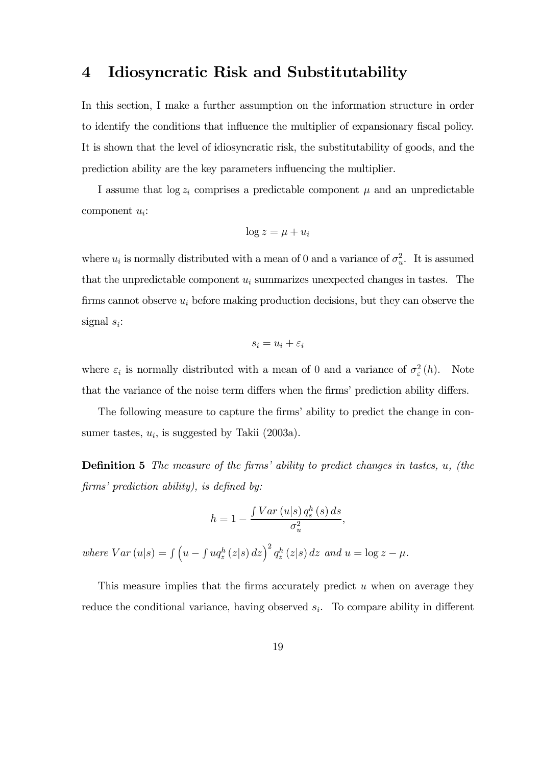# 4 Idiosyncratic Risk and Substitutability

In this section, I make a further assumption on the information structure in order to identify the conditions that influence the multiplier of expansionary fiscal policy. It is shown that the level of idiosyncratic risk, the substitutability of goods, and the prediction ability are the key parameters influencing the multiplier.

I assume that  $log z_i$  comprises a predictable component  $\mu$  and an unpredictable component  $u_i$ :

$$
\log z = \mu + u_i
$$

where  $u_i$  is normally distributed with a mean of 0 and a variance of  $\sigma_u^2$ . It is assumed that the unpredictable component  $u_i$  summarizes unexpected changes in tastes. The firms cannot observe  $u_i$  before making production decisions, but they can observe the signal  $s_i$ :

$$
s_i = u_i + \varepsilon_i
$$

where  $\varepsilon_i$  is normally distributed with a mean of 0 and a variance of  $\sigma_{\varepsilon}^2(h)$ . Note that the variance of the noise term differs when the firms' prediction ability differs.

The following measure to capture the firms' ability to predict the change in consumer tastes,  $u_i$ , is suggested by Takii (2003a).

Definition 5 The measure of the firms' ability to predict changes in tastes, u, (the firms' prediction ability), is defined by:

$$
h = 1 - \frac{\int Var\left(u|s\right) q_s^h\left(s\right) ds}{\sigma_u^2},
$$

where  $Var(u|s) = \int (u - \int u q_z^h(z|s) dz)^2 q_z^h(z|s) dz$  and  $u = \log z - \mu$ .

This measure implies that the firms accurately predict  $u$  when on average they reduce the conditional variance, having observed  $s_i$ . To compare ability in different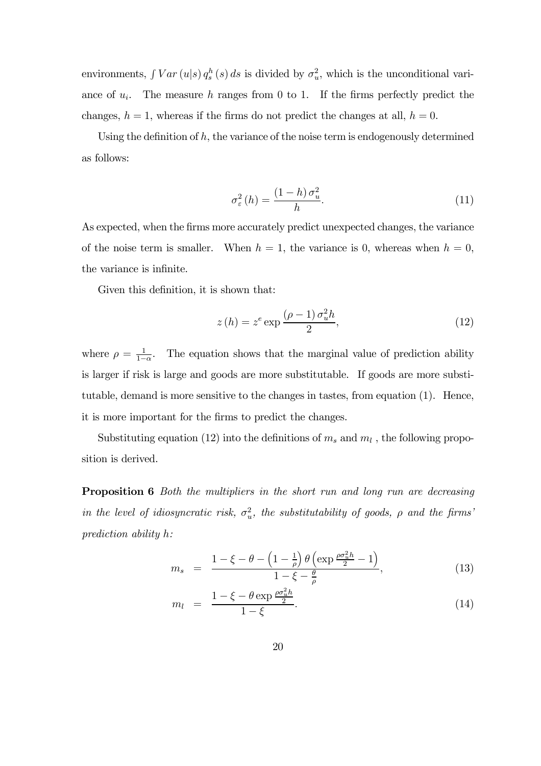environments,  $\int Var(u|s) q_s^h(s) ds$  is divided by  $\sigma_u^2$ , which is the unconditional variance of  $u_i$ . The measure h ranges from 0 to 1. If the firms perfectly predict the changes,  $h = 1$ , whereas if the firms do not predict the changes at all,  $h = 0$ .

Using the definition of  $h$ , the variance of the noise term is endogenously determined as follows:

$$
\sigma_{\varepsilon}^{2}(h) = \frac{(1-h)\,\sigma_{u}^{2}}{h}.\tag{11}
$$

As expected, when the firms more accurately predict unexpected changes, the variance of the noise term is smaller. When  $h = 1$ , the variance is 0, whereas when  $h = 0$ , the variance is infinite.

Given this definition, it is shown that:

$$
z(h) = ze \exp \frac{(\rho - 1) \sigma_u^2 h}{2},
$$
\n(12)

where  $\rho = \frac{1}{1-\alpha}$ . The equation shows that the marginal value of prediction ability is larger if risk is large and goods are more substitutable. If goods are more substitutable, demand is more sensitive to the changes in tastes, from equation (1). Hence, it is more important for the firms to predict the changes.

Substituting equation (12) into the definitions of  $m_s$  and  $m_l$ , the following proposition is derived.

Proposition 6 Both the multipliers in the short run and long run are decreasing in the level of idiosyncratic risk,  $\sigma_u^2$ , the substitutability of goods,  $\rho$  and the firms' prediction ability h:

$$
m_s = \frac{1 - \xi - \theta - \left(1 - \frac{1}{\rho}\right)\theta \left(\exp{\frac{\rho \sigma_u^2 h}{2}} - 1\right)}{1 - \xi - \frac{\theta}{\rho}},\tag{13}
$$

$$
m_l = \frac{1 - \xi - \theta \exp{\frac{\rho \sigma_u^2 h}{2}}}{1 - \xi}.
$$
\n(14)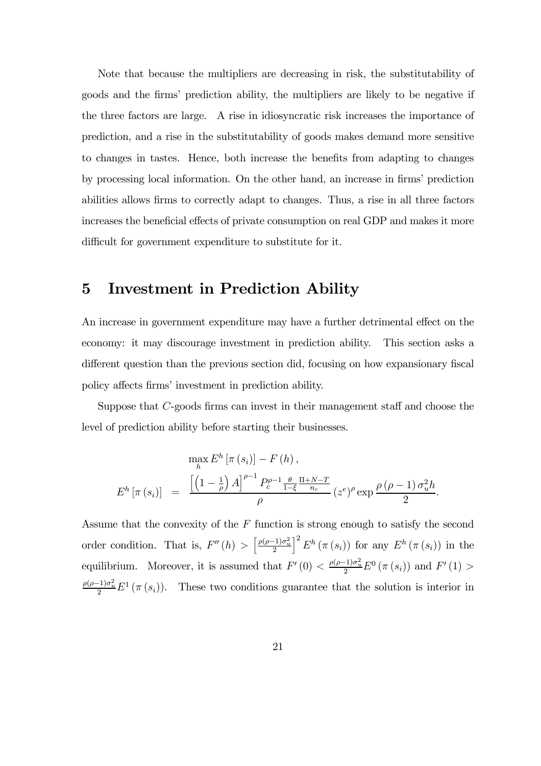Note that because the multipliers are decreasing in risk, the substitutability of goods and the firms' prediction ability, the multipliers are likely to be negative if the three factors are large. A rise in idiosyncratic risk increases the importance of prediction, and a rise in the substitutability of goods makes demand more sensitive to changes in tastes. Hence, both increase the benefits from adapting to changes by processing local information. On the other hand, an increase in firms' prediction abilities allows firms to correctly adapt to changes. Thus, a rise in all three factors increases the beneficial effects of private consumption on real GDP and makes it more difficult for government expenditure to substitute for it.

#### 5 Investment in Prediction Ability

An increase in government expenditure may have a further detrimental effect on the economy: it may discourage investment in prediction ability. This section asks a different question than the previous section did, focusing on how expansionary fiscal policy affects firms' investment in prediction ability.

Suppose that C-goods firms can invest in their management staff and choose the level of prediction ability before starting their businesses.

$$
\max_{h} E^{h} \left[ \pi \left( s_{i} \right) \right] - F \left( h \right),
$$
\n
$$
E^{h} \left[ \pi \left( s_{i} \right) \right] = \frac{\left[ \left( 1 - \frac{1}{\rho} \right) A \right]^{\rho - 1} P_{c}^{\rho - 1} \frac{\theta}{1 - \xi} \frac{\Pi + N - T}{n_{c}}}{\rho} (z^{\epsilon})^{\rho} \exp \frac{\rho \left( \rho - 1 \right) \sigma_{u}^{2} h}{2}.
$$

Assume that the convexity of the  $F$  function is strong enough to satisfy the second order condition. That is,  $F''(h) > \left[\frac{\rho(\rho-1)\sigma_u^2}{2}\right]$  $\int_0^2 E^h(\pi(s_i))$  for any  $E^h(\pi(s_i))$  in the equilibrium. Moreover, it is assumed that  $F'(0) < \frac{\rho(\rho-1)\sigma_u^2}{2} E^0(\pi(s_i))$  and  $F'(1) >$  $\frac{\rho(\rho-1)\sigma_u^2}{2}E^1(\pi(s_i)).$  These two conditions guarantee that the solution is interior in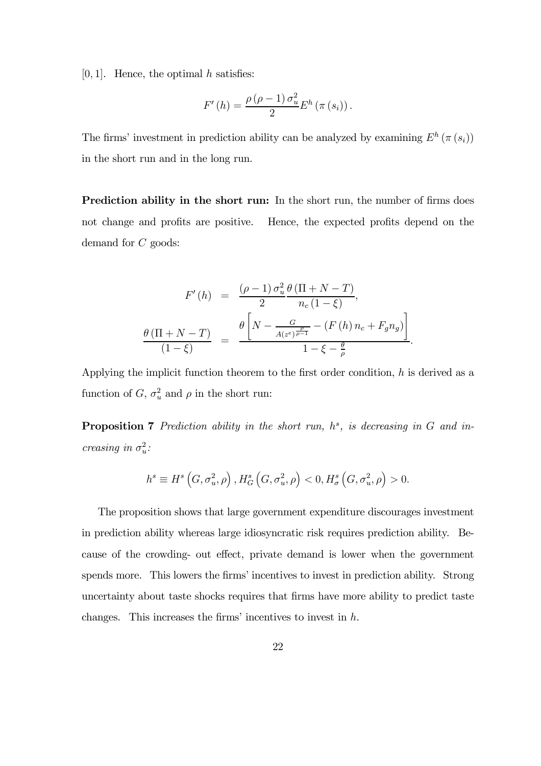$[0, 1]$ . Hence, the optimal h satisfies:

$$
F'(h) = \frac{\rho(\rho-1)\sigma_u^2}{2}E^h(\pi(s_i)).
$$

The firms' investment in prediction ability can be analyzed by examining  $E^h(\pi(s_i))$ in the short run and in the long run.

Prediction ability in the short run: In the short run, the number of firms does not change and profits are positive. Hence, the expected profits depend on the demand for C goods:

$$
F'(h) = \frac{(\rho - 1) \sigma_u^2}{2} \frac{\theta (\Pi + N - T)}{n_c (1 - \xi)},
$$

$$
\frac{\theta (\Pi + N - T)}{(1 - \xi)} = \frac{\theta \left[ N - \frac{G}{A(z^e)^{\frac{\rho}{\rho - 1}}} - (F(h) n_c + F_g n_g) \right]}{1 - \xi - \frac{\theta}{\rho}}.
$$

Applying the implicit function theorem to the first order condition,  $h$  is derived as a function of  $G, \sigma_u^2$  and  $\rho$  in the short run:

**Proposition 7** Prediction ability in the short run,  $h^s$ , is decreasing in G and increasing in  $\sigma_u^2$ :

$$
h^{s} \equiv H^{s}\left(G, \sigma_{u}^{2}, \rho\right), H_{G}^{s}\left(G, \sigma_{u}^{2}, \rho\right) < 0, H_{\sigma}^{s}\left(G, \sigma_{u}^{2}, \rho\right) > 0.
$$

The proposition shows that large government expenditure discourages investment in prediction ability whereas large idiosyncratic risk requires prediction ability. Because of the crowding- out effect, private demand is lower when the government spends more. This lowers the firms' incentives to invest in prediction ability. Strong uncertainty about taste shocks requires that firms have more ability to predict taste changes. This increases the firms' incentives to invest in h.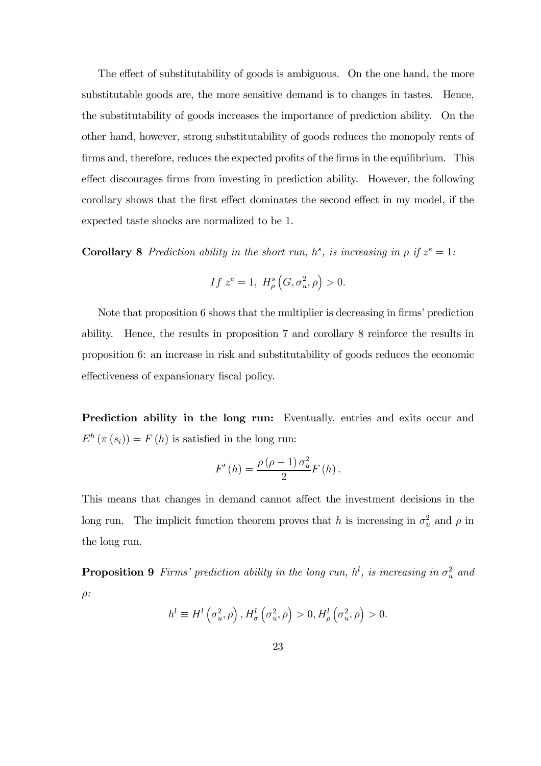The effect of substitutability of goods is ambiguous. On the one hand, the more substitutable goods are, the more sensitive demand is to changes in tastes. Hence, the substitutability of goods increases the importance of prediction ability. On the other hand, however, strong substitutability of goods reduces the monopoly rents of firms and, therefore, reduces the expected profits of the firms in the equilibrium. This effect discourages firms from investing in prediction ability. However, the following corollary shows that the first effect dominates the second effect in my model, if the expected taste shocks are normalized to be 1.

**Corollary 8** Prediction ability in the short run,  $h^s$ , is increasing in  $\rho$  if  $z^e = 1$ :

$$
If z^e = 1, H^s_\rho\left(G, \sigma_u^2, \rho\right) > 0.
$$

Note that proposition 6 shows that the multiplier is decreasing in firms' prediction ability. Hence, the results in proposition 7 and corollary 8 reinforce the results in proposition 6: an increase in risk and substitutability of goods reduces the economic effectiveness of expansionary fiscal policy.

Prediction ability in the long run: Eventually, entries and exits occur and  $E^h(\pi(s_i)) = F(h)$  is satisfied in the long run:

$$
F'(h) = \frac{\rho(\rho - 1) \sigma_u^2}{2} F(h).
$$

This means that changes in demand cannot affect the investment decisions in the long run. The implicit function theorem proves that h is increasing in  $\sigma_u^2$  and  $\rho$  in the long run.

**Proposition 9** Firms' prediction ability in the long run,  $h^l$ , is increasing in  $\sigma_u^2$  and  $\rho$ :

$$
h^{l} \equiv H^{l}\left(\sigma_{u}^{2}, \rho\right), H_{\sigma}^{l}\left(\sigma_{u}^{2}, \rho\right) > 0, H_{\rho}^{l}\left(\sigma_{u}^{2}, \rho\right) > 0.
$$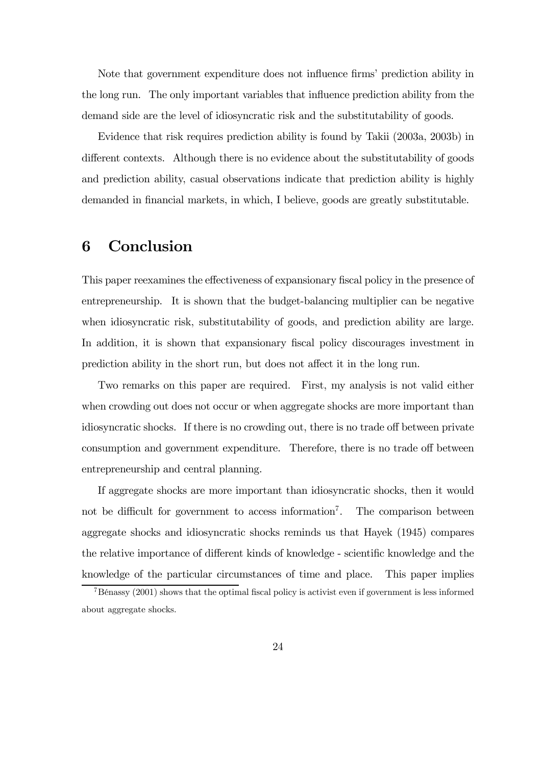Note that government expenditure does not influence firms' prediction ability in the long run. The only important variables that influence prediction ability from the demand side are the level of idiosyncratic risk and the substitutability of goods.

Evidence that risk requires prediction ability is found by Takii (2003a, 2003b) in different contexts. Although there is no evidence about the substitutability of goods and prediction ability, casual observations indicate that prediction ability is highly demanded in financial markets, in which, I believe, goods are greatly substitutable.

## 6 Conclusion

This paper reexamines the effectiveness of expansionary fiscal policy in the presence of entrepreneurship. It is shown that the budget-balancing multiplier can be negative when idiosyncratic risk, substitutability of goods, and prediction ability are large. In addition, it is shown that expansionary fiscal policy discourages investment in prediction ability in the short run, but does not affect it in the long run.

Two remarks on this paper are required. First, my analysis is not valid either when crowding out does not occur or when aggregate shocks are more important than idiosyncratic shocks. If there is no crowding out, there is no trade off between private consumption and government expenditure. Therefore, there is no trade off between entrepreneurship and central planning.

If aggregate shocks are more important than idiosyncratic shocks, then it would not be difficult for government to access information<sup>7</sup>. The comparison between aggregate shocks and idiosyncratic shocks reminds us that Hayek (1945) compares the relative importance of different kinds of knowledge - scientific knowledge and the knowledge of the particular circumstances of time and place. This paper implies

<sup>7</sup>Bénassy (2001) shows that the optimal fiscal policy is activist even if government is less informed about aggregate shocks.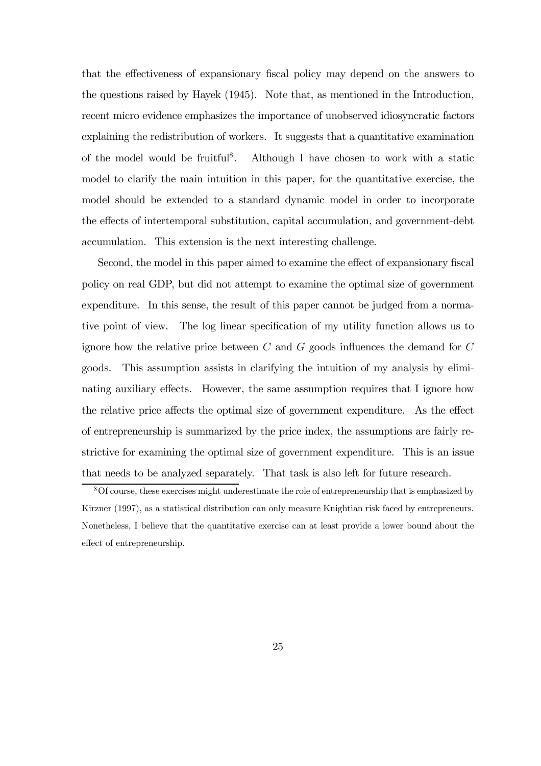that the effectiveness of expansionary fiscal policy may depend on the answers to the questions raised by Hayek (1945). Note that, as mentioned in the Introduction, recent micro evidence emphasizes the importance of unobserved idiosyncratic factors explaining the redistribution of workers. It suggests that a quantitative examination of the model would be fruitful<sup>8</sup>. Although I have chosen to work with a static model to clarify the main intuition in this paper, for the quantitative exercise, the model should be extended to a standard dynamic model in order to incorporate the effects of intertemporal substitution, capital accumulation, and government-debt accumulation. This extension is the next interesting challenge.

Second, the model in this paper aimed to examine the effect of expansionary fiscal policy on real GDP, but did not attempt to examine the optimal size of government expenditure. In this sense, the result of this paper cannot be judged from a normative point of view. The log linear specification of my utility function allows us to ignore how the relative price between  $C$  and  $G$  goods influences the demand for  $C$ goods. This assumption assists in clarifying the intuition of my analysis by eliminating auxiliary effects. However, the same assumption requires that I ignore how the relative price affects the optimal size of government expenditure. As the effect of entrepreneurship is summarized by the price index, the assumptions are fairly restrictive for examining the optimal size of government expenditure. This is an issue that needs to be analyzed separately. That task is also left for future research.

<sup>&</sup>lt;sup>8</sup>Of course, these exercises might underestimate the role of entrepreneurship that is emphasized by Kirzner (1997), as a statistical distribution can only measure Knightian risk faced by entrepreneurs. Nonetheless, I believe that the quantitative exercise can at least provide a lower bound about the effect of entrepreneurship.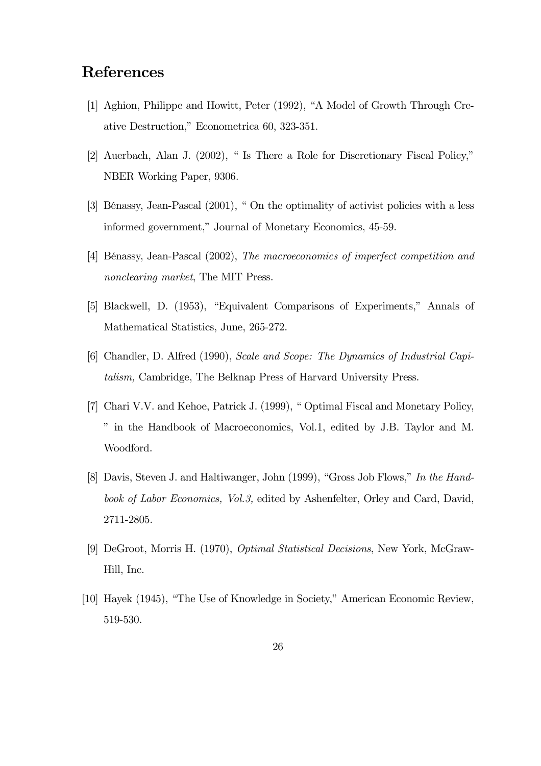## References

- [1] Aghion, Philippe and Howitt, Peter (1992), "A Model of Growth Through Creative Destruction," Econometrica 60, 323-351.
- [2] Auerbach, Alan J. (2002), " Is There a Role for Discretionary Fiscal Policy," NBER Working Paper, 9306.
- [3] Bénassy, Jean-Pascal (2001), " On the optimality of activist policies with a less informed government," Journal of Monetary Economics, 45-59.
- [4] Bénassy, Jean-Pascal (2002), The macroeconomics of imperfect competition and nonclearing market, The MIT Press.
- [5] Blackwell, D. (1953), "Equivalent Comparisons of Experiments," Annals of Mathematical Statistics, June, 265-272.
- [6] Chandler, D. Alfred (1990), Scale and Scope: The Dynamics of Industrial Capitalism, Cambridge, The Belknap Press of Harvard University Press.
- [7] Chari V.V. and Kehoe, Patrick J. (1999), " Optimal Fiscal and Monetary Policy, " in the Handbook of Macroeconomics, Vol.1, edited by J.B. Taylor and M. Woodford.
- [8] Davis, Steven J. and Haltiwanger, John (1999), "Gross Job Flows," In the Handbook of Labor Economics, Vol.3, edited by Ashenfelter, Orley and Card, David, 2711-2805.
- [9] DeGroot, Morris H. (1970), Optimal Statistical Decisions, New York, McGraw-Hill, Inc.
- [10] Hayek (1945), "The Use of Knowledge in Society," American Economic Review, 519-530.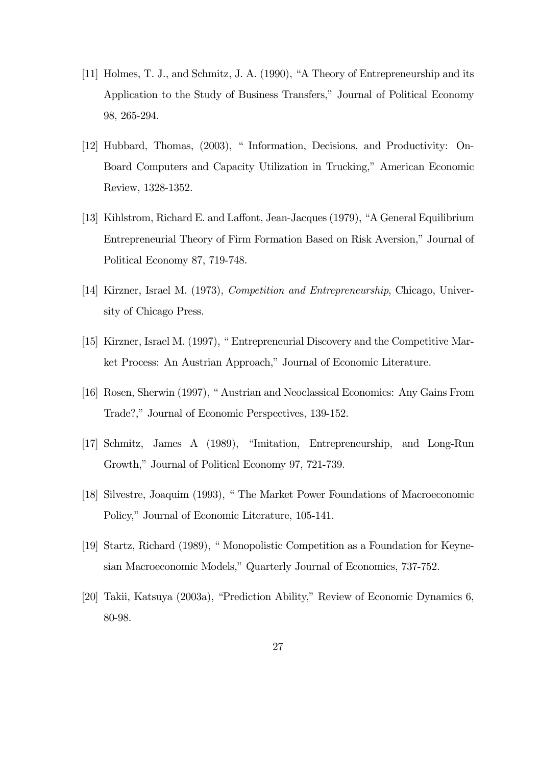- [11] Holmes, T. J., and Schmitz, J. A. (1990), "A Theory of Entrepreneurship and its Application to the Study of Business Transfers," Journal of Political Economy 98, 265-294.
- [12] Hubbard, Thomas, (2003), "Information, Decisions, and Productivity: On-Board Computers and Capacity Utilization in Trucking," American Economic Review, 1328-1352.
- [13] Kihlstrom, Richard E. and Laffont, Jean-Jacques (1979), "A General Equilibrium Entrepreneurial Theory of Firm Formation Based on Risk Aversion," Journal of Political Economy 87, 719-748.
- [14] Kirzner, Israel M. (1973), Competition and Entrepreneurship, Chicago, University of Chicago Press.
- [15] Kirzner, Israel M. (1997), " Entrepreneurial Discovery and the Competitive Market Process: An Austrian Approach," Journal of Economic Literature.
- [16] Rosen, Sherwin (1997), " Austrian and Neoclassical Economics: Any Gains From Trade?," Journal of Economic Perspectives, 139-152.
- [17] Schmitz, James A (1989), "Imitation, Entrepreneurship, and Long-Run Growth," Journal of Political Economy 97, 721-739.
- [18] Silvestre, Joaquim (1993), " The Market Power Foundations of Macroeconomic Policy," Journal of Economic Literature, 105-141.
- [19] Startz, Richard (1989), " Monopolistic Competition as a Foundation for Keynesian Macroeconomic Models," Quarterly Journal of Economics, 737-752.
- [20] Takii, Katsuya (2003a), "Prediction Ability," Review of Economic Dynamics 6, 80-98.